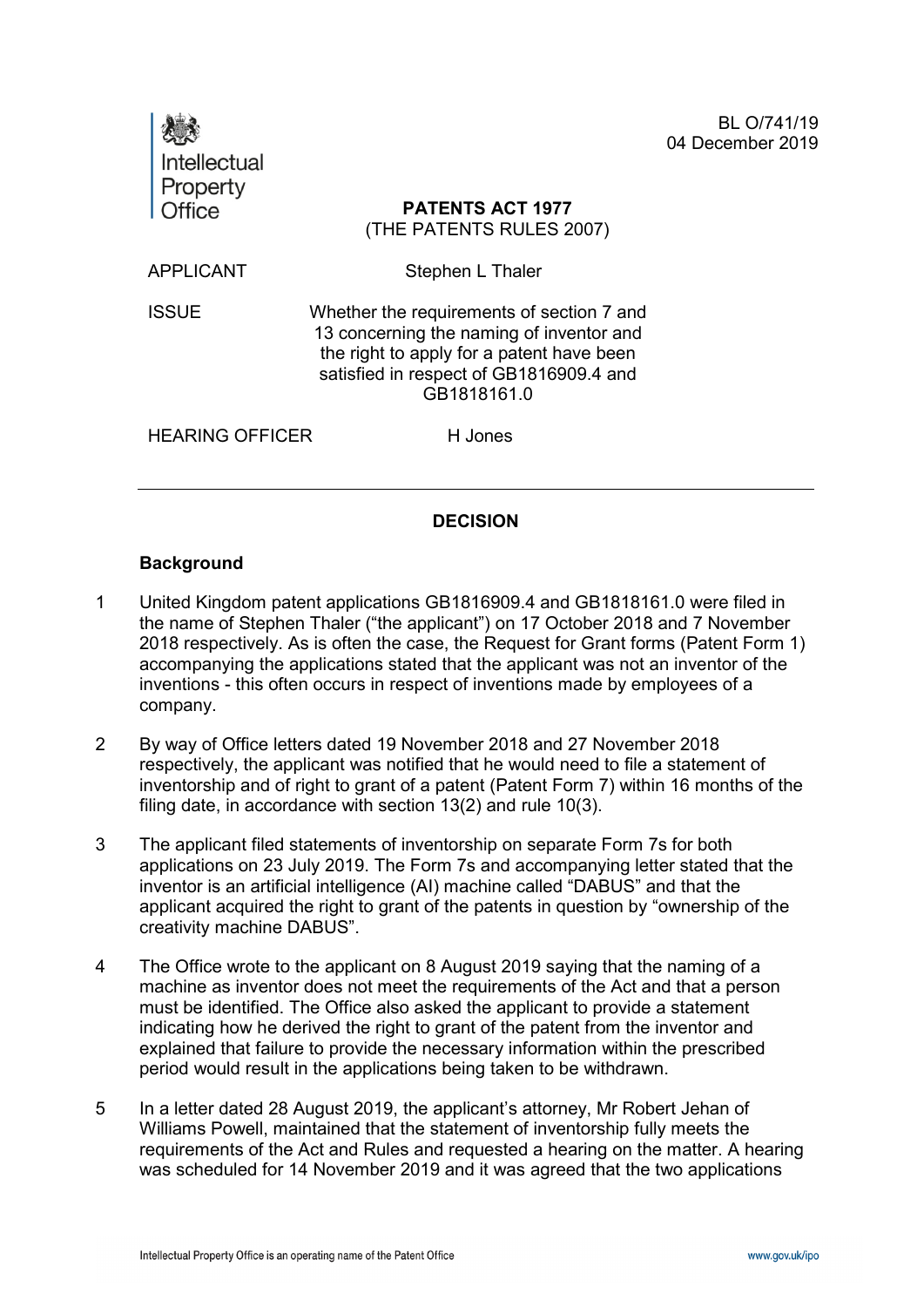| Intellectual<br>Property |                                                                                                                                                                                              | BL O/741/19<br>04 December 2019 |
|--------------------------|----------------------------------------------------------------------------------------------------------------------------------------------------------------------------------------------|---------------------------------|
| <b>Office</b>            | <b>PATENTS ACT 1977</b><br>(THE PATENTS RULES 2007)                                                                                                                                          |                                 |
| <b>APPLICANT</b>         | Stephen L Thaler                                                                                                                                                                             |                                 |
| <b>ISSUE</b>             | Whether the requirements of section 7 and<br>13 concerning the naming of inventor and<br>the right to apply for a patent have been<br>satisfied in respect of GB1816909.4 and<br>GB1818161.0 |                                 |
| <b>HEARING OFFICER</b>   | H Jones                                                                                                                                                                                      |                                 |
|                          |                                                                                                                                                                                              |                                 |

## **DECISION**

### **Background**

- 1 United Kingdom patent applications GB1816909.4 and GB1818161.0 were filed in the name of Stephen Thaler ("the applicant") on 17 October 2018 and 7 November 2018 respectively. As is often the case, the Request for Grant forms (Patent Form 1) accompanying the applications stated that the applicant was not an inventor of the inventions - this often occurs in respect of inventions made by employees of a company.
- 2 By way of Office letters dated 19 November 2018 and 27 November 2018 respectively, the applicant was notified that he would need to file a statement of inventorship and of right to grant of a patent (Patent Form 7) within 16 months of the filing date, in accordance with section 13(2) and rule 10(3).
- 3 The applicant filed statements of inventorship on separate Form 7s for both applications on 23 July 2019. The Form 7s and accompanying letter stated that the inventor is an artificial intelligence (AI) machine called "DABUS" and that the applicant acquired the right to grant of the patents in question by "ownership of the creativity machine DABUS".
- 4 The Office wrote to the applicant on 8 August 2019 saying that the naming of a machine as inventor does not meet the requirements of the Act and that a person must be identified. The Office also asked the applicant to provide a statement indicating how he derived the right to grant of the patent from the inventor and explained that failure to provide the necessary information within the prescribed period would result in the applications being taken to be withdrawn.
- 5 In a letter dated 28 August 2019, the applicant's attorney, Mr Robert Jehan of Williams Powell, maintained that the statement of inventorship fully meets the requirements of the Act and Rules and requested a hearing on the matter. A hearing was scheduled for 14 November 2019 and it was agreed that the two applications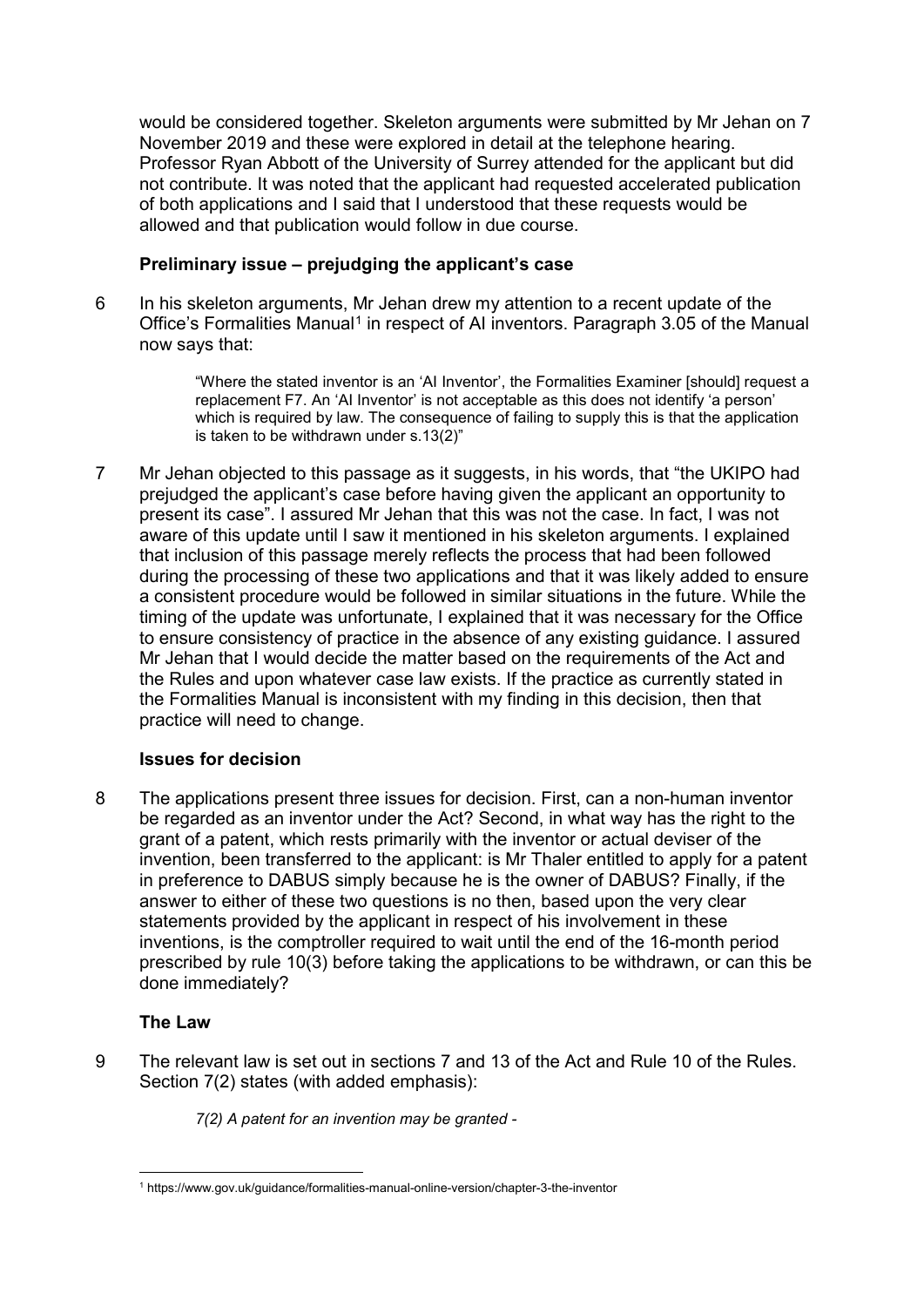would be considered together. Skeleton arguments were submitted by Mr Jehan on 7 November 2019 and these were explored in detail at the telephone hearing. Professor Ryan Abbott of the University of Surrey attended for the applicant but did not contribute. It was noted that the applicant had requested accelerated publication of both applications and I said that I understood that these requests would be allowed and that publication would follow in due course.

# **Preliminary issue – prejudging the applicant's case**

6 In his skeleton arguments, Mr Jehan drew my attention to a recent update of the Office's Formalities Manual<sup>[1](#page-1-0)</sup> in respect of AI inventors. Paragraph 3.05 of the Manual now says that:

> "Where the stated inventor is an 'AI Inventor', the Formalities Examiner [should] request a replacement F7. An 'AI Inventor' is not acceptable as this does not identify 'a person' which is required by law. The consequence of failing to supply this is that the application is taken to be withdrawn under s.13(2)"

7 Mr Jehan objected to this passage as it suggests, in his words, that "the UKIPO had prejudged the applicant's case before having given the applicant an opportunity to present its case". I assured Mr Jehan that this was not the case. In fact, I was not aware of this update until I saw it mentioned in his skeleton arguments. I explained that inclusion of this passage merely reflects the process that had been followed during the processing of these two applications and that it was likely added to ensure a consistent procedure would be followed in similar situations in the future. While the timing of the update was unfortunate, I explained that it was necessary for the Office to ensure consistency of practice in the absence of any existing guidance. I assured Mr Jehan that I would decide the matter based on the requirements of the Act and the Rules and upon whatever case law exists. If the practice as currently stated in the Formalities Manual is inconsistent with my finding in this decision, then that practice will need to change.

## **Issues for decision**

8 The applications present three issues for decision. First, can a non-human inventor be regarded as an inventor under the Act? Second, in what way has the right to the grant of a patent, which rests primarily with the inventor or actual deviser of the invention, been transferred to the applicant: is Mr Thaler entitled to apply for a patent in preference to DABUS simply because he is the owner of DABUS? Finally, if the answer to either of these two questions is no then, based upon the very clear statements provided by the applicant in respect of his involvement in these inventions, is the comptroller required to wait until the end of the 16-month period prescribed by rule 10(3) before taking the applications to be withdrawn, or can this be done immediately?

## **The Law**

9 The relevant law is set out in sections 7 and 13 of the Act and Rule 10 of the Rules. Section 7(2) states (with added emphasis):

*7(2) A patent for an invention may be granted -*

<span id="page-1-0"></span> <sup>1</sup> https://www.gov.uk/guidance/formalities-manual-online-version/chapter-3-the-inventor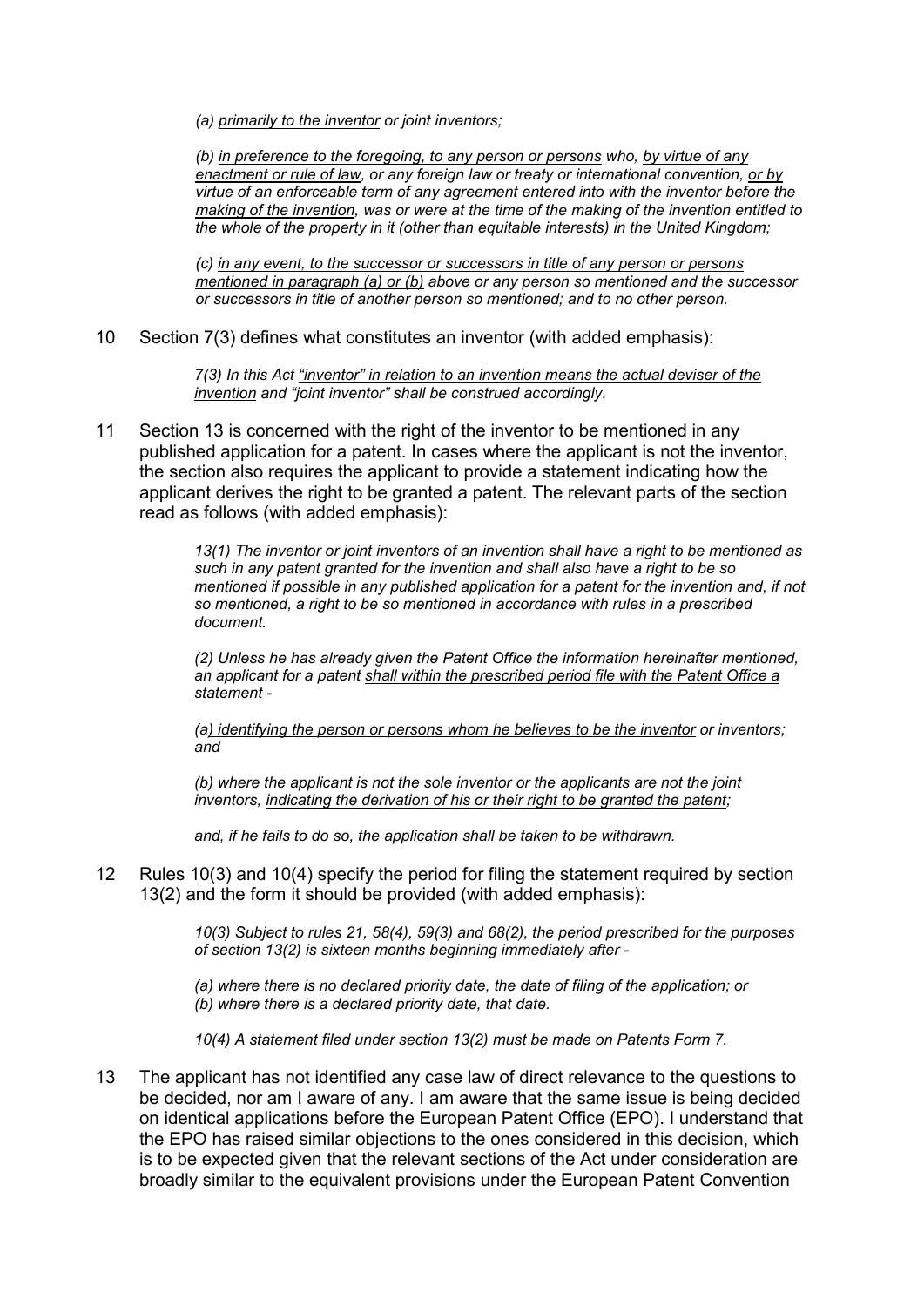*(a) primarily to the inventor or joint inventors;*

*(b) in preference to the foregoing, to any person or persons who, by virtue of any enactment or rule of law, or any foreign law or treaty or international convention, or by virtue of an enforceable term of any agreement entered into with the inventor before the making of the invention, was or were at the time of the making of the invention entitled to the whole of the property in it (other than equitable interests) in the United Kingdom;*

*(c) in any event, to the successor or successors in title of any person or persons mentioned in paragraph (a) or (b) above or any person so mentioned and the successor or successors in title of another person so mentioned; and to no other person.*

10 Section 7(3) defines what constitutes an inventor (with added emphasis):

*7(3) In this Act "inventor" in relation to an invention means the actual deviser of the invention and "joint inventor" shall be construed accordingly.*

11 Section 13 is concerned with the right of the inventor to be mentioned in any published application for a patent. In cases where the applicant is not the inventor, the section also requires the applicant to provide a statement indicating how the applicant derives the right to be granted a patent. The relevant parts of the section read as follows (with added emphasis):

> *13(1) The inventor or joint inventors of an invention shall have a right to be mentioned as such in any patent granted for the invention and shall also have a right to be so mentioned if possible in any published application for a patent for the invention and, if not so mentioned, a right to be so mentioned in accordance with rules in a prescribed document.*

*(2) Unless he has already given the Patent Office the information hereinafter mentioned, an applicant for a patent shall within the prescribed period file with the Patent Office a statement -*

*(a) identifying the person or persons whom he believes to be the inventor or inventors; and*

*(b) where the applicant is not the sole inventor or the applicants are not the joint*  inventors, indicating the derivation of his or their right to be granted the patent;

*and, if he fails to do so, the application shall be taken to be withdrawn.*

12 Rules 10(3) and 10(4) specify the period for filing the statement required by section 13(2) and the form it should be provided (with added emphasis):

> *10(3) Subject to rules 21, 58(4), 59(3) and 68(2), the period prescribed for the purposes of section 13(2) is sixteen months beginning immediately after -*

*(a) where there is no declared priority date, the date of filing of the application; or (b) where there is a declared priority date, that date.*

*10(4) A statement filed under section 13(2) must be made on Patents Form 7.*

13 The applicant has not identified any case law of direct relevance to the questions to be decided, nor am I aware of any. I am aware that the same issue is being decided on identical applications before the European Patent Office (EPO). I understand that the EPO has raised similar objections to the ones considered in this decision, which is to be expected given that the relevant sections of the Act under consideration are broadly similar to the equivalent provisions under the European Patent Convention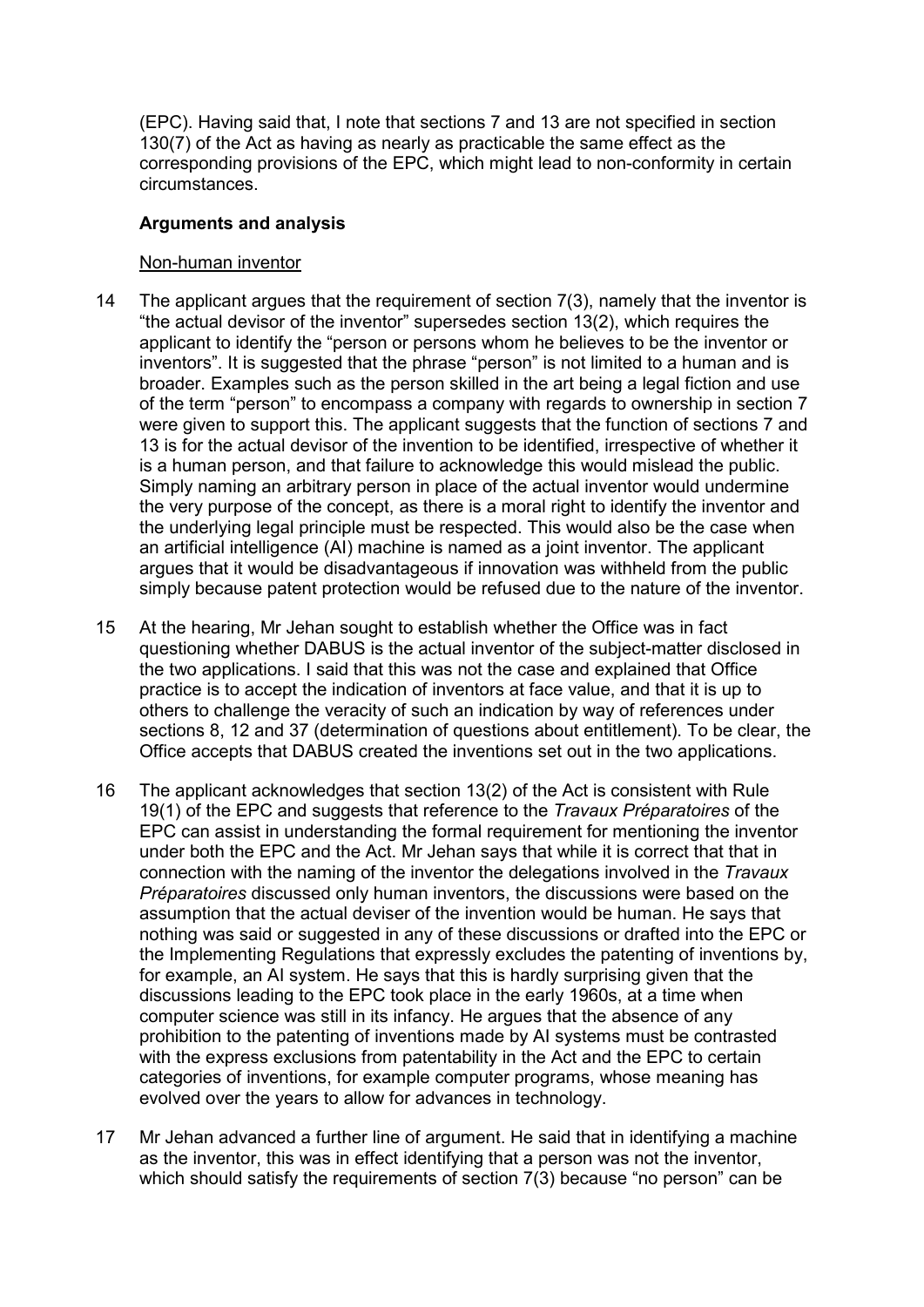(EPC). Having said that, I note that sections 7 and 13 are not specified in section 130(7) of the Act as having as nearly as practicable the same effect as the corresponding provisions of the EPC, which might lead to non-conformity in certain circumstances.

## **Arguments and analysis**

## Non-human inventor

- 14 The applicant argues that the requirement of section 7(3), namely that the inventor is "the actual devisor of the inventor" supersedes section 13(2), which requires the applicant to identify the "person or persons whom he believes to be the inventor or inventors". It is suggested that the phrase "person" is not limited to a human and is broader. Examples such as the person skilled in the art being a legal fiction and use of the term "person" to encompass a company with regards to ownership in section 7 were given to support this. The applicant suggests that the function of sections 7 and 13 is for the actual devisor of the invention to be identified, irrespective of whether it is a human person, and that failure to acknowledge this would mislead the public. Simply naming an arbitrary person in place of the actual inventor would undermine the very purpose of the concept, as there is a moral right to identify the inventor and the underlying legal principle must be respected. This would also be the case when an artificial intelligence (AI) machine is named as a joint inventor. The applicant argues that it would be disadvantageous if innovation was withheld from the public simply because patent protection would be refused due to the nature of the inventor.
- 15 At the hearing, Mr Jehan sought to establish whether the Office was in fact questioning whether DABUS is the actual inventor of the subject-matter disclosed in the two applications. I said that this was not the case and explained that Office practice is to accept the indication of inventors at face value, and that it is up to others to challenge the veracity of such an indication by way of references under sections 8, 12 and 37 (determination of questions about entitlement). To be clear, the Office accepts that DABUS created the inventions set out in the two applications.
- 16 The applicant acknowledges that section 13(2) of the Act is consistent with Rule 19(1) of the EPC and suggests that reference to the *Travaux Préparatoires* of the EPC can assist in understanding the formal requirement for mentioning the inventor under both the EPC and the Act. Mr Jehan says that while it is correct that that in connection with the naming of the inventor the delegations involved in the *Travaux Préparatoires* discussed only human inventors, the discussions were based on the assumption that the actual deviser of the invention would be human. He says that nothing was said or suggested in any of these discussions or drafted into the EPC or the Implementing Regulations that expressly excludes the patenting of inventions by, for example, an AI system. He says that this is hardly surprising given that the discussions leading to the EPC took place in the early 1960s, at a time when computer science was still in its infancy. He argues that the absence of any prohibition to the patenting of inventions made by AI systems must be contrasted with the express exclusions from patentability in the Act and the EPC to certain categories of inventions, for example computer programs, whose meaning has evolved over the years to allow for advances in technology.
- 17 Mr Jehan advanced a further line of argument. He said that in identifying a machine as the inventor, this was in effect identifying that a person was not the inventor, which should satisfy the requirements of section 7(3) because "no person" can be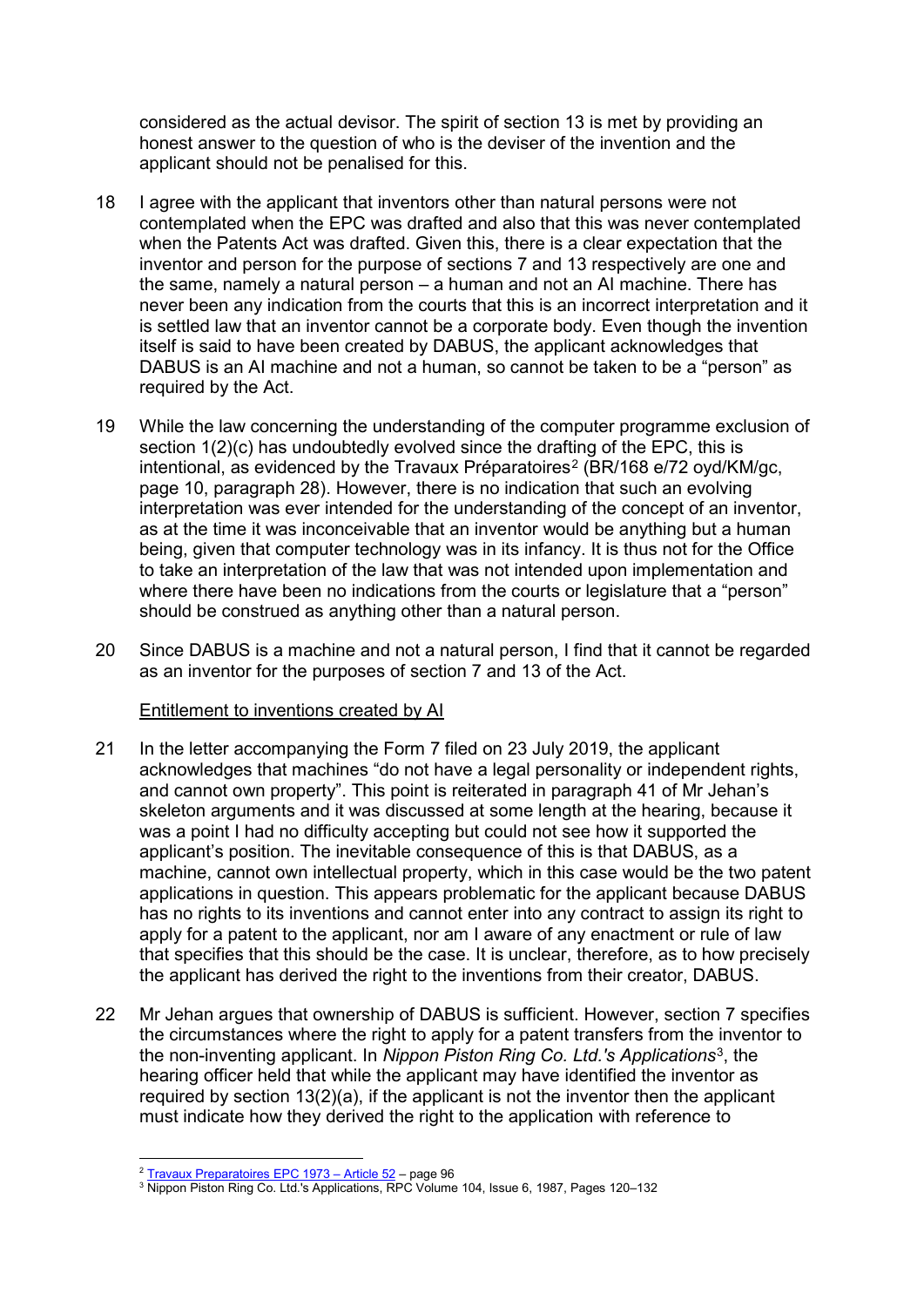considered as the actual devisor. The spirit of section 13 is met by providing an honest answer to the question of who is the deviser of the invention and the applicant should not be penalised for this.

- 18 I agree with the applicant that inventors other than natural persons were not contemplated when the EPC was drafted and also that this was never contemplated when the Patents Act was drafted. Given this, there is a clear expectation that the inventor and person for the purpose of sections 7 and 13 respectively are one and the same, namely a natural person – a human and not an AI machine. There has never been any indication from the courts that this is an incorrect interpretation and it is settled law that an inventor cannot be a corporate body. Even though the invention itself is said to have been created by DABUS, the applicant acknowledges that DABUS is an AI machine and not a human, so cannot be taken to be a "person" as required by the Act.
- 19 While the law concerning the understanding of the computer programme exclusion of section 1(2)(c) has undoubtedly evolved since the drafting of the EPC, this is intentional, as evidenced by the Travaux Préparatoires<sup>[2](#page-4-0)</sup> (BR/168 e/72 oyd/KM/gc, page 10, paragraph 28). However, there is no indication that such an evolving interpretation was ever intended for the understanding of the concept of an inventor, as at the time it was inconceivable that an inventor would be anything but a human being, given that computer technology was in its infancy. It is thus not for the Office to take an interpretation of the law that was not intended upon implementation and where there have been no indications from the courts or legislature that a "person" should be construed as anything other than a natural person.
- 20 Since DABUS is a machine and not a natural person, I find that it cannot be regarded as an inventor for the purposes of section 7 and 13 of the Act.

## Entitlement to inventions created by AI

- 21 In the letter accompanying the Form 7 filed on 23 July 2019, the applicant acknowledges that machines "do not have a legal personality or independent rights, and cannot own property". This point is reiterated in paragraph 41 of Mr Jehan's skeleton arguments and it was discussed at some length at the hearing, because it was a point I had no difficulty accepting but could not see how it supported the applicant's position. The inevitable consequence of this is that DABUS, as a machine, cannot own intellectual property, which in this case would be the two patent applications in question. This appears problematic for the applicant because DABUS has no rights to its inventions and cannot enter into any contract to assign its right to apply for a patent to the applicant, nor am I aware of any enactment or rule of law that specifies that this should be the case. It is unclear, therefore, as to how precisely the applicant has derived the right to the inventions from their creator, DABUS.
- 22 Mr Jehan argues that ownership of DABUS is sufficient. However, section 7 specifies the circumstances where the right to apply for a patent transfers from the inventor to the non-inventing applicant. In *Nippon Piston Ring Co. Ltd.'s Applications*[3](#page-4-1), the hearing officer held that while the applicant may have identified the inventor as required by section 13(2)(a), if the applicant is not the inventor then the applicant must indicate how they derived the right to the application with reference to

 <sup>2</sup> [Travaux Preparatoires EPC 1973 –](http://webserv.epo.org/projects/babylon/tpepc73.nsf/0/719AC39AA49A7563C12574270049EB9E/$File/Art52eTPEPC1973.pdf) Article 52 – page 96

<span id="page-4-1"></span><span id="page-4-0"></span><sup>3</sup> Nippon Piston Ring Co. Ltd.'s Applications, RPC Volume 104, Issue 6, 1987, Pages 120–132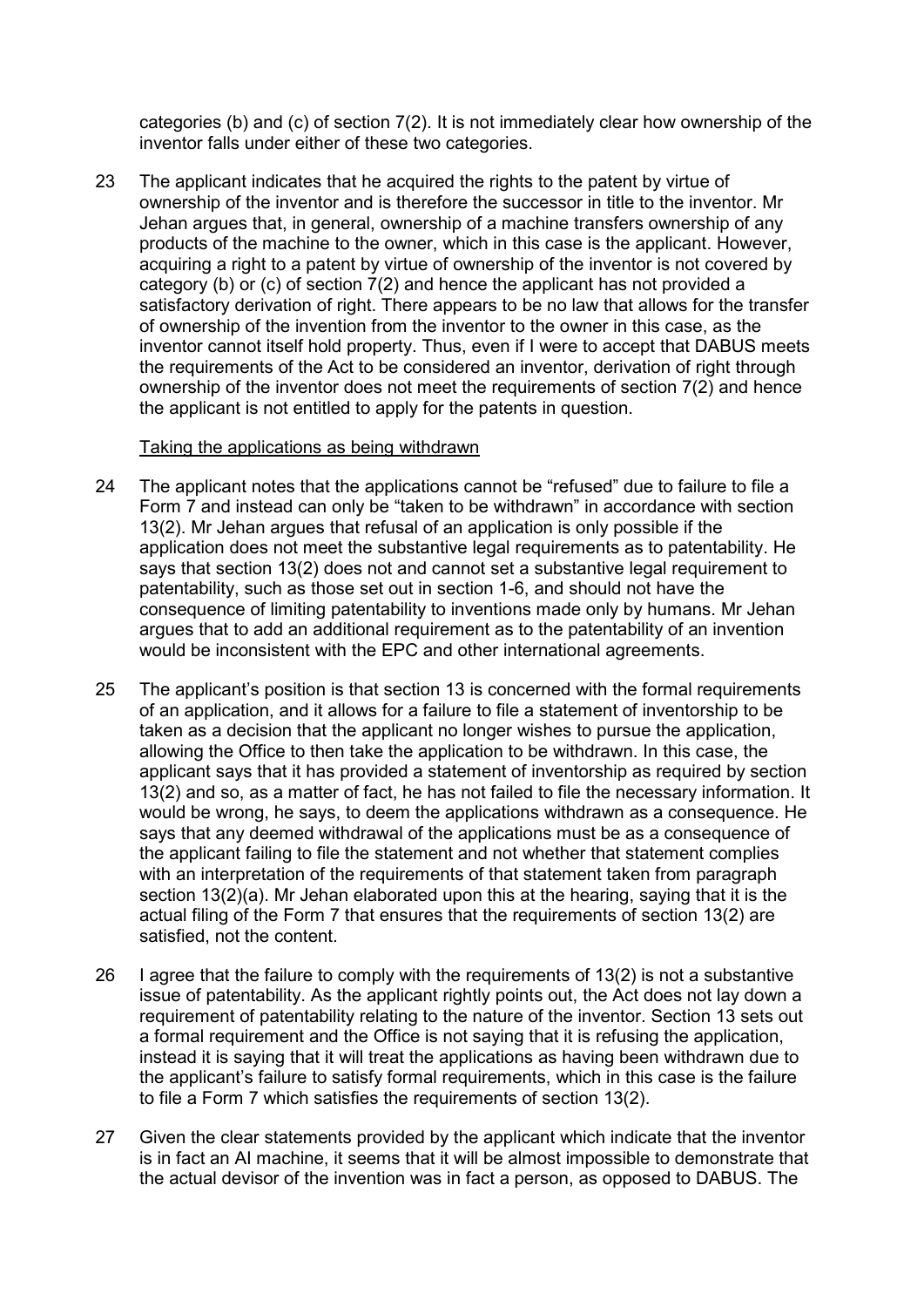categories (b) and (c) of section 7(2). It is not immediately clear how ownership of the inventor falls under either of these two categories.

23 The applicant indicates that he acquired the rights to the patent by virtue of ownership of the inventor and is therefore the successor in title to the inventor. Mr Jehan argues that, in general, ownership of a machine transfers ownership of any products of the machine to the owner, which in this case is the applicant. However, acquiring a right to a patent by virtue of ownership of the inventor is not covered by category (b) or (c) of section 7(2) and hence the applicant has not provided a satisfactory derivation of right. There appears to be no law that allows for the transfer of ownership of the invention from the inventor to the owner in this case, as the inventor cannot itself hold property. Thus, even if I were to accept that DABUS meets the requirements of the Act to be considered an inventor, derivation of right through ownership of the inventor does not meet the requirements of section 7(2) and hence the applicant is not entitled to apply for the patents in question.

### Taking the applications as being withdrawn

- 24 The applicant notes that the applications cannot be "refused" due to failure to file a Form 7 and instead can only be "taken to be withdrawn" in accordance with section 13(2). Mr Jehan argues that refusal of an application is only possible if the application does not meet the substantive legal requirements as to patentability. He says that section 13(2) does not and cannot set a substantive legal requirement to patentability, such as those set out in section 1-6, and should not have the consequence of limiting patentability to inventions made only by humans. Mr Jehan argues that to add an additional requirement as to the patentability of an invention would be inconsistent with the EPC and other international agreements.
- 25 The applicant's position is that section 13 is concerned with the formal requirements of an application, and it allows for a failure to file a statement of inventorship to be taken as a decision that the applicant no longer wishes to pursue the application, allowing the Office to then take the application to be withdrawn. In this case, the applicant says that it has provided a statement of inventorship as required by section 13(2) and so, as a matter of fact, he has not failed to file the necessary information. It would be wrong, he says, to deem the applications withdrawn as a consequence. He says that any deemed withdrawal of the applications must be as a consequence of the applicant failing to file the statement and not whether that statement complies with an interpretation of the requirements of that statement taken from paragraph section 13(2)(a). Mr Jehan elaborated upon this at the hearing, saying that it is the actual filing of the Form 7 that ensures that the requirements of section 13(2) are satisfied, not the content.
- 26 I agree that the failure to comply with the requirements of 13(2) is not a substantive issue of patentability. As the applicant rightly points out, the Act does not lay down a requirement of patentability relating to the nature of the inventor. Section 13 sets out a formal requirement and the Office is not saying that it is refusing the application, instead it is saying that it will treat the applications as having been withdrawn due to the applicant's failure to satisfy formal requirements, which in this case is the failure to file a Form 7 which satisfies the requirements of section 13(2).
- 27 Given the clear statements provided by the applicant which indicate that the inventor is in fact an AI machine, it seems that it will be almost impossible to demonstrate that the actual devisor of the invention was in fact a person, as opposed to DABUS. The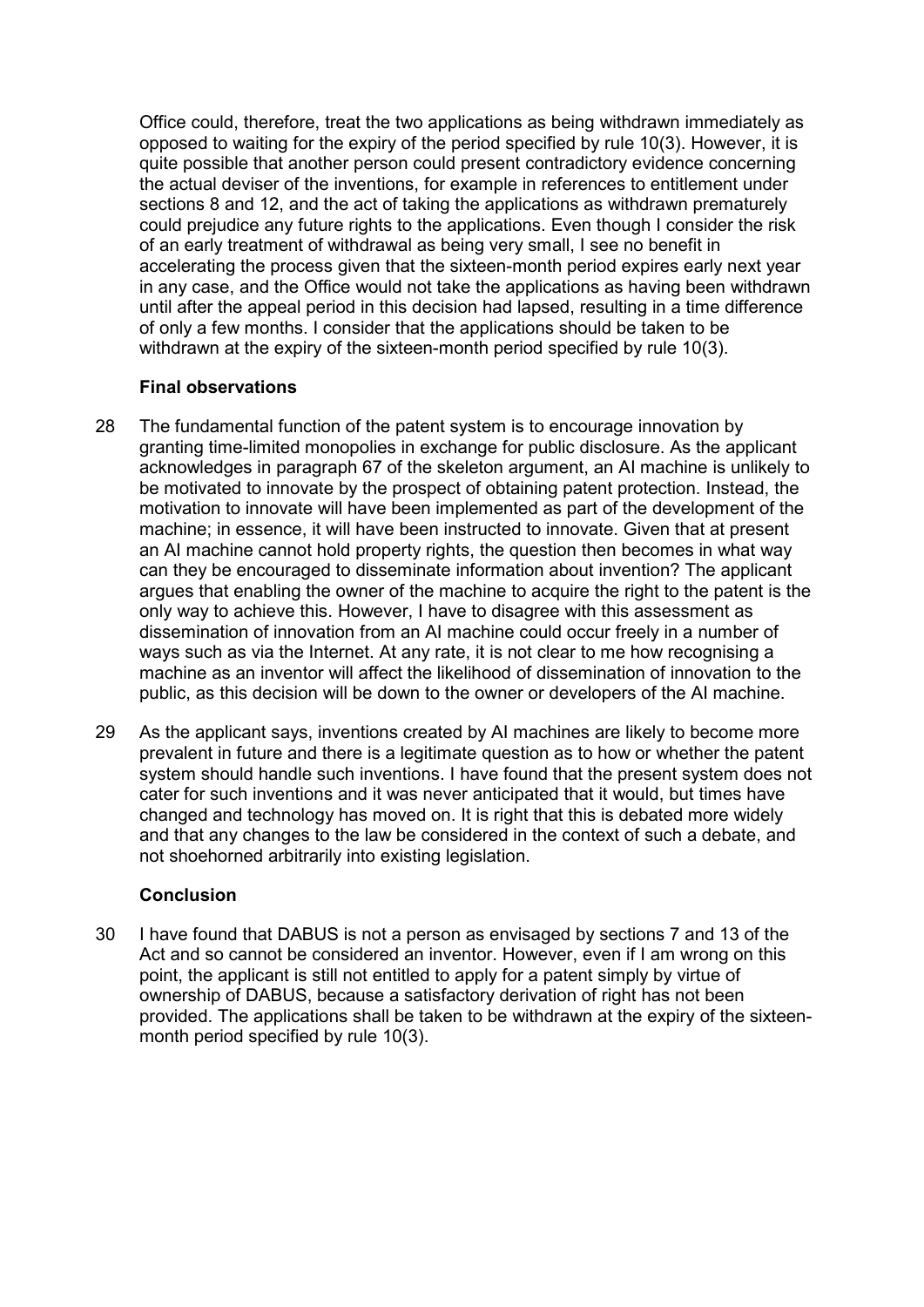Office could, therefore, treat the two applications as being withdrawn immediately as opposed to waiting for the expiry of the period specified by rule 10(3). However, it is quite possible that another person could present contradictory evidence concerning the actual deviser of the inventions, for example in references to entitlement under sections 8 and 12, and the act of taking the applications as withdrawn prematurely could prejudice any future rights to the applications. Even though I consider the risk of an early treatment of withdrawal as being very small, I see no benefit in accelerating the process given that the sixteen-month period expires early next year in any case, and the Office would not take the applications as having been withdrawn until after the appeal period in this decision had lapsed, resulting in a time difference of only a few months. I consider that the applications should be taken to be withdrawn at the expiry of the sixteen-month period specified by rule 10(3).

## **Final observations**

- 28 The fundamental function of the patent system is to encourage innovation by granting time-limited monopolies in exchange for public disclosure. As the applicant acknowledges in paragraph 67 of the skeleton argument, an AI machine is unlikely to be motivated to innovate by the prospect of obtaining patent protection. Instead, the motivation to innovate will have been implemented as part of the development of the machine; in essence, it will have been instructed to innovate. Given that at present an AI machine cannot hold property rights, the question then becomes in what way can they be encouraged to disseminate information about invention? The applicant argues that enabling the owner of the machine to acquire the right to the patent is the only way to achieve this. However, I have to disagree with this assessment as dissemination of innovation from an AI machine could occur freely in a number of ways such as via the Internet. At any rate, it is not clear to me how recognising a machine as an inventor will affect the likelihood of dissemination of innovation to the public, as this decision will be down to the owner or developers of the AI machine.
- 29 As the applicant says, inventions created by AI machines are likely to become more prevalent in future and there is a legitimate question as to how or whether the patent system should handle such inventions. I have found that the present system does not cater for such inventions and it was never anticipated that it would, but times have changed and technology has moved on. It is right that this is debated more widely and that any changes to the law be considered in the context of such a debate, and not shoehorned arbitrarily into existing legislation.

## **Conclusion**

30 I have found that DABUS is not a person as envisaged by sections 7 and 13 of the Act and so cannot be considered an inventor. However, even if I am wrong on this point, the applicant is still not entitled to apply for a patent simply by virtue of ownership of DABUS, because a satisfactory derivation of right has not been provided. The applications shall be taken to be withdrawn at the expiry of the sixteenmonth period specified by rule 10(3).